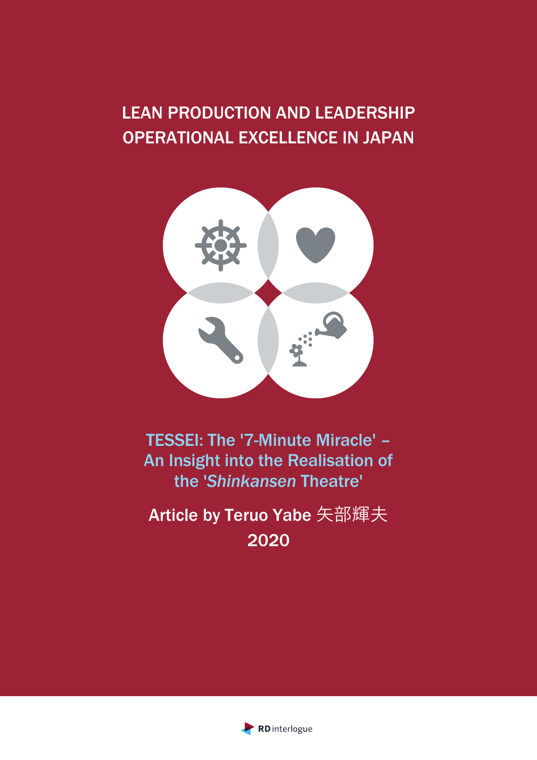# LEAN PRODUCTION AND LEADERSHIP OPERATIONAL EXCELLENCE IN JAPAN



TESSEI: The '7-Minute Miracle' – An Insight into the Realisation of the '*Shinkansen* Theatre'

Article by Teruo Yabe 矢部輝夫 2020

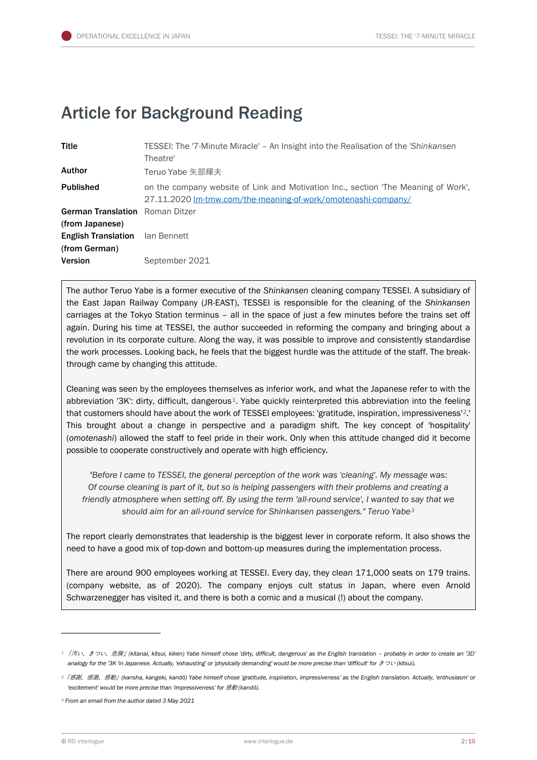## Article for Background Reading

| <b>Title</b>                                              | TESSEI: The '7-Minute Miracle' – An Insight into the Realisation of the 'Shinkansen<br>Theatre'                                                     |
|-----------------------------------------------------------|-----------------------------------------------------------------------------------------------------------------------------------------------------|
| Author                                                    | Teruo Yabe 矢部輝夫                                                                                                                                     |
| <b>Published</b>                                          | on the company website of Link and Motivation Inc., section 'The Meaning of Work',<br>27.11.2020 Im-tmw.com/the-meaning-of-work/omotenashi-company/ |
| <b>German Translation</b> Roman Ditzer<br>(from Japanese) |                                                                                                                                                     |
| <b>English Translation</b><br>(from German)               | lan Bennett                                                                                                                                         |
| <b>Version</b>                                            | September 2021                                                                                                                                      |

The author Teruo Yabe is a former executive of the *Shinkansen* cleaning company TESSEI. A subsidiary of the East Japan Railway Company (JR-EAST), TESSEI is responsible for the cleaning of the *Shinkansen* carriages at the Tokyo Station terminus – all in the space of just a few minutes before the trains set off again. During his time at TESSEI, the author succeeded in reforming the company and bringing about a revolution in its corporate culture. Along the way, it was possible to improve and consistently standardise the work processes. Looking back, he feels that the biggest hurdle was the attitude of the staff. The breakthrough came by changing this attitude.

Cleaning was seen by the employees themselves as inferior work, and what the Japanese refer to with the abbreviation '3K': dirty, difficult, dangerous<sup>[1](#page-1-0)</sup>. Yabe quickly reinterpreted this abbreviation into the feeling that customers should have about the work of TESSEI employees: 'gratitude, inspiration, impressiveness' [2](#page-1-1).' This brought about a change in perspective and a paradigm shift. The key concept of 'hospitality' (*omotenashi*) allowed the staff to feel pride in their work. Only when this attitude changed did it become possible to cooperate constructively and operate with high efficiency.

*"Before I came to TESSEI, the general perception of the work was 'cleaning'. My message was: Of course cleaning is part of it, but so is helping passengers with their problems and creating a friendly atmosphere when setting off. By using the term 'all-round service', I wanted to say that we should aim for an all-round service for Shinkansen passengers." Teruo Yabe[3](#page-1-2)*

The report clearly demonstrates that leadership is the biggest lever in corporate reform. It also shows the need to have a good mix of top-down and bottom-up measures during the implementation process.

There are around 900 employees working at TESSEI. Every day, they clean 171,000 seats on 179 trains. (company website, as of 2020). The company enjoys cult status in Japan, where even Arnold Schwarzenegger has visited it, and there is both a comic and a musical (!) about the company.

<span id="page-1-0"></span>*<sup>1</sup>* 「汚い、きつい、危険」*(kitanai, kitsui, kiken) Yabe himself chose 'dirty, difficult, dangerous' as the English translation – probably in order to create an '3D'*  analogy for the '3K 'in Japanese. Actually, 'exhausting' or 'physically demanding' would be more precise than 'difficult' for  $\ddot{z}$  つい (kitsui).

<span id="page-1-1"></span>*<sup>2</sup>*「感謝、感激、感動」*(kansha, kangeki, kandō) Yabe himself chose 'gratitude, inspiration, impressiveness' as the English translation. Actually, 'enthusiasm' or 'excitement' would be more precise than 'impressiveness' for* 感動 *(kandō).*

<span id="page-1-2"></span>*<sup>3</sup> From an email from the author dated 3 May 2021*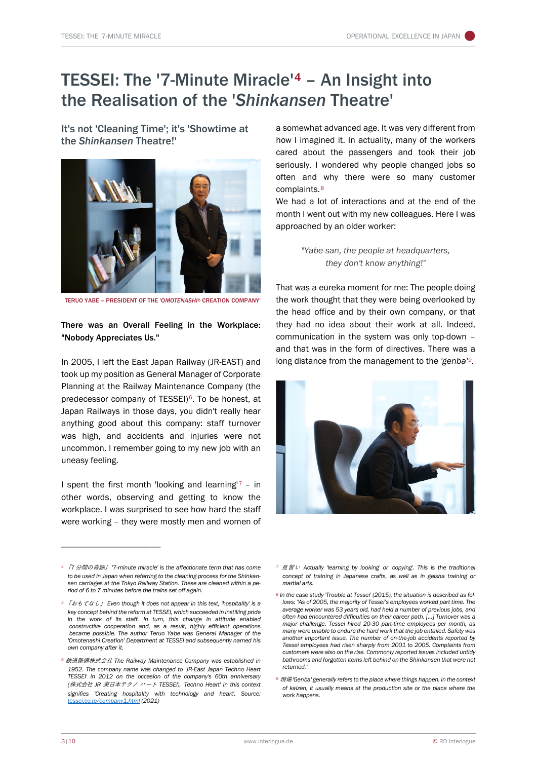## TESSEI: The '7-Minute Miracle'[4](#page-2-2) – An Insight into the Realisation of the '*Shinkansen* Theatre'

It's not 'Cleaning Time'; it's 'Showtime at the *Shinkansen* Theatre!'



TERUO YABE – PRESIDENT OF THE '*OMOTENASHI*[5](#page-2-0) CREATION COMPANY'

### There was an Overall Feeling in the Workplace: "Nobody Appreciates Us."

In 2005, I left the East Japan Railway (JR-EAST) and took up my position as General Manager of Corporate Planning at the Railway Maintenance Company (the predecessor company of TESSEI)<sup>[6](#page-2-1)</sup>. To be honest, at Japan Railways in those days, you didn't really hear anything good about this company: staff turnover was high, and accidents and injuries were not uncommon. I remember going to my new job with an uneasy feeling.

I spent the first month 'looking and learning'<sup>[7](#page-2-2)</sup> – in other words, observing and getting to know the workplace. I was surprised to see how hard the staff were working – they were mostly men and women of

\_\_\_\_\_\_\_\_\_\_\_\_\_\_\_\_\_\_\_\_\_\_

a somewhat advanced age. It was very different from how I imagined it. In actuality, many of the workers cared about the passengers and took their job seriously. I wondered why people changed jobs so often and why there were so many customer complaints.[8](#page-2-3)

We had a lot of interactions and at the end of the month I went out with my new colleagues. Here I was approached by an older worker:

> *"Yabe-san, the people at headquarters, they don't know anything!"*

That was a eureka moment for me: The people doing the work thought that they were being overlooked by the head office and by their own company, or that they had no idea about their work at all. Indeed, communication in the system was only top-down – and that was in the form of directives. There was a long distance from the management to the 'genba'<sup>[9](#page-2-4)</sup>.



- *<sup>7</sup>* 見習い *Actually 'learning by looking' or 'copying'. This is the traditional concept of training in Japanese crafts, as well as in geisha training or martial arts.*
- *<sup>8</sup> In the case study 'Trouble at Tessei' (2015), the situation is described as follows: "As of 2005, the majority of Tessei's employees worked part time. The average worker was 53 years old, had held a number of previous jobs, and often had encountered difficulties on their career path. […] Turnover was a major challenge. Tessei hired 20-30 part-time employees per month, as many were unable to endure the hard work that the job entailed. Safety was another important issue. The number of on-the-job accidents reported by Tessei employees had risen sharply from 2001 to 2005. Complaints from customers were also on the rise. Commonly reported issues included untidy bathrooms and forgotten items left behind on the Shinkansen that were not returned."*
- *<sup>9</sup>* 現場*'Genba' generally refers to the place where things happen. In the context of kaizen, it usually means at the production site or the place where the work happens.*

<span id="page-2-2"></span>*<sup>4</sup>* 「*7* 分間の奇跡」 *'7-minute miracle' is the affectionate term that has come to be used in Japan when referring to the cleaning process for the Shinkansen carriages at the Tokyo Railway Station. These are cleaned within a period of 6 to 7 minutes before the trains set off again.*

<span id="page-2-3"></span><span id="page-2-0"></span>*<sup>5</sup>* 「おもてなし」 *Even though it does not appear in this text, 'hospitality' is a key concept behind the reform at TESSEI, which succeeded in instilling pride in the work of its staff. In turn, this change in attitude enabled constructive cooperation and, as a result, highly efficient operations became possible. The author Teruo Yabe was General Manager of the 'Omotenashi Creation' Department at TESSEI and subsequently named his own company after it.*

<span id="page-2-4"></span><span id="page-2-1"></span>*<sup>6</sup>* 鉄道整備株式会社 *The Railway Maintenance Company was established in 1952. The company name was changed to 'JR-East Japan Techno Heart TESSEI' in 2012 on the occasion of the company's 60th anniversary (*株式会社 *JR* 東日本テクノ ハート *TESSEI). 'Techno Heart' in this context signifies 'Creating hospitality with technology and heart'. Source: [tessei.co.jp/company1.html](http://www.tessei.co.jp/company1.html) (2021)*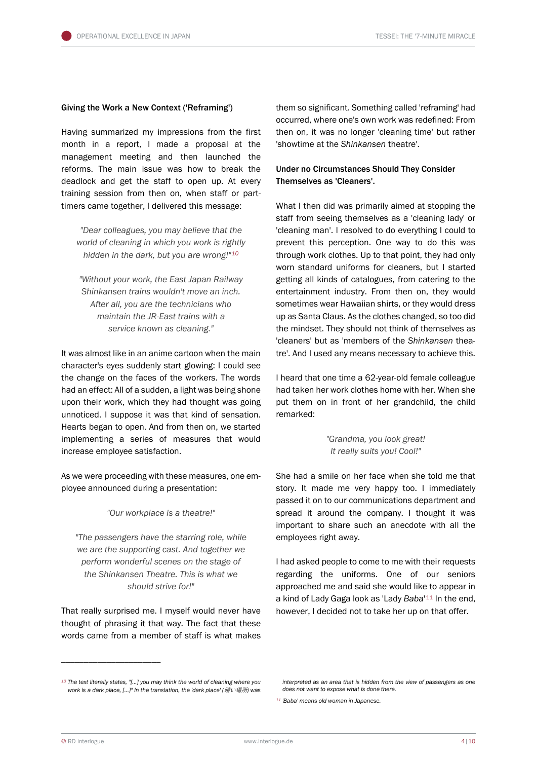#### Giving the Work a New Context ('Reframing')

Having summarized my impressions from the first month in a report, I made a proposal at the management meeting and then launched the reforms. The main issue was how to break the deadlock and get the staff to open up. At every training session from then on, when staff or parttimers came together, I delivered this message:

*"Dear colleagues, you may believe that the world of cleaning in which you work is rightly hidden in the dark, but you are wrong!"[10](#page-3-0)*

*"Without your work, the East Japan Railway Shinkansen trains wouldn't move an inch. After all, you are the technicians who maintain the JR-East trains with a service known as cleaning."*

It was almost like in an anime cartoon when the main character's eyes suddenly start glowing: I could see the change on the faces of the workers. The words had an effect: All of a sudden, a light was being shone upon their work, which they had thought was going unnoticed. I suppose it was that kind of sensation. Hearts began to open. And from then on, we started implementing a series of measures that would increase employee satisfaction.

As we were proceeding with these measures, one employee announced during a presentation:

*"Our workplace is a theatre!"*

*"The passengers have the starring role, while we are the supporting cast. And together we perform wonderful scenes on the stage of the Shinkansen Theatre. This is what we should strive for!"*

That really surprised me. I myself would never have thought of phrasing it that way. The fact that these words came from a member of staff is what makes them so significant. Something called 'reframing' had occurred, where one's own work was redefined: From then on, it was no longer 'cleaning time' but rather 'showtime at the *Shinkansen* theatre'.

## Under no Circumstances Should They Consider Themselves as 'Cleaners'.

What I then did was primarily aimed at stopping the staff from seeing themselves as a 'cleaning lady' or 'cleaning man'. I resolved to do everything I could to prevent this perception. One way to do this was through work clothes. Up to that point, they had only worn standard uniforms for cleaners, but I started getting all kinds of catalogues, from catering to the entertainment industry. From then on, they would sometimes wear Hawaiian shirts, or they would dress up as Santa Claus. As the clothes changed, so too did the mindset. They should not think of themselves as 'cleaners' but as 'members of the *Shinkansen* theatre'. And I used any means necessary to achieve this.

I heard that one time a 62-year-old female colleague had taken her work clothes home with her. When she put them on in front of her grandchild, the child remarked:

> *"Grandma, you look great! It really suits you! Cool!"*

She had a smile on her face when she told me that story. It made me very happy too. I immediately passed it on to our communications department and spread it around the company. I thought it was important to share such an anecdote with all the employees right away.

I had asked people to come to me with their requests regarding the uniforms. One of our seniors approached me and said she would like to appear in a kind of Lady Gaga look as 'Lady *Baba*'[11](#page-3-1) In the end, however, I decided not to take her up on that offer.

<span id="page-3-1"></span><span id="page-3-0"></span>*<sup>10</sup> The text literally states, "[...] you may think the world of cleaning where you work is a dark place, [...]" In the translation, the 'dark place' (*暗い場所*) was*

*interpreted as an area that is hidden from the view of passengers as one does not want to expose what is done there.*

*<sup>11</sup> 'Baba' means old woman in Japanese.*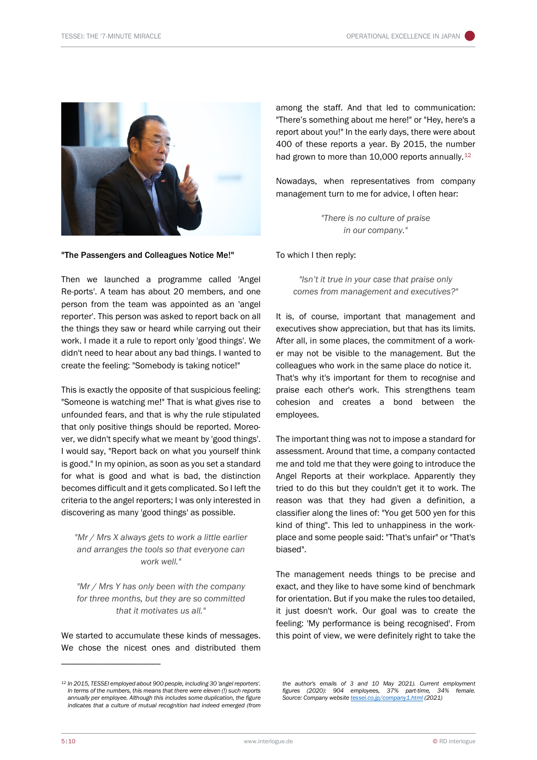

"The Passengers and Colleagues Notice Me!"

Then we launched a programme called 'Angel Re-ports'. A team has about 20 members, and one person from the team was appointed as an 'angel reporter'. This person was asked to report back on all the things they saw or heard while carrying out their work. I made it a rule to report only 'good things'. We didn't need to hear about any bad things. I wanted to create the feeling: "Somebody is taking notice!"

This is exactly the opposite of that suspicious feeling: "Someone is watching me!" That is what gives rise to unfounded fears, and that is why the rule stipulated that only positive things should be reported. Moreover, we didn't specify what we meant by 'good things'. I would say, "Report back on what you yourself think is good." In my opinion, as soon as you set a standard for what is good and what is bad, the distinction becomes difficult and it gets complicated. So I left the criteria to the angel reporters; I was only interested in discovering as many 'good things' as possible.

*"Mr / Mrs X always gets to work a little earlier and arranges the tools so that everyone can work well."*

*"Mr / Mrs Y has only been with the company for three months, but they are so committed that it motivates us all."*

We started to accumulate these kinds of messages. We chose the nicest ones and distributed them

\_\_\_\_\_\_\_\_\_\_\_\_\_\_\_\_\_\_\_\_\_\_

among the staff. And that led to communication: "There's something about me here!" or "Hey, here's a report about you!" In the early days, there were about 400 of these reports a year. By 2015, the number had grown to more than 10,000 reports annually.<sup>[12](#page-4-0)</sup>

Nowadays, when representatives from company management turn to me for advice, I often hear:

> *"There is no culture of praise in our company."*

To which I then reply:

*"Isn't it true in your case that praise only comes from management and executives?"* 

It is, of course, important that management and executives show appreciation, but that has its limits. After all, in some places, the commitment of a worker may not be visible to the management. But the colleagues who work in the same place do notice it. That's why it's important for them to recognise and praise each other's work. This strengthens team cohesion and creates a bond between the employees.

The important thing was not to impose a standard for assessment. Around that time, a company contacted me and told me that they were going to introduce the Angel Reports at their workplace. Apparently they tried to do this but they couldn't get it to work. The reason was that they had given a definition, a classifier along the lines of: "You get 500 yen for this kind of thing". This led to unhappiness in the workplace and some people said: "That's unfair" or "That's biased".

The management needs things to be precise and exact, and they like to have some kind of benchmark for orientation. But if you make the rules too detailed, it just doesn't work. Our goal was to create the feeling: 'My performance is being recognised'. From this point of view, we were definitely right to take the

*the author's emails of 3 and 10 May 2021). Current employment figures (2020): 904 employees, 37% part-time, 34% female. Source: Company websit[e tessei.co.jp/company1.html](http://www.tessei.co.jp/company1.html) (2021)*

<span id="page-4-0"></span>*<sup>12</sup> In 2015, TESSEI employed about 900 people, including 30 'angel reporters'. In terms of the numbers, this means that there were eleven (!) such reports annually per employee. Although this includes some duplication, the figure indicates that a culture of mutual recognition had indeed emerged (from*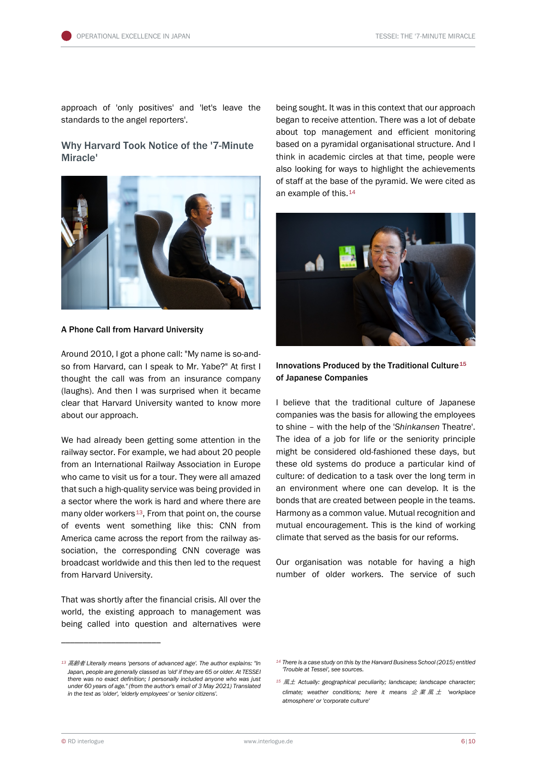approach of 'only positives' and 'let's leave the standards to the angel reporters'.

## Why Harvard Took Notice of the '7-Minute Miracle'



A Phone Call from Harvard University

Around 2010, I got a phone call: "My name is so-andso from Harvard, can I speak to Mr. Yabe?" At first I thought the call was from an insurance company (laughs). And then I was surprised when it became clear that Harvard University wanted to know more about our approach.

We had already been getting some attention in the railway sector. For example, we had about 20 people from an International Railway Association in Europe who came to visit us for a tour. They were all amazed that such a high-quality service was being provided in a sector where the work is hard and where there are many older workers<sup>[13](#page-5-0)</sup>, From that point on, the course of events went something like this: CNN from America came across the report from the railway association, the corresponding CNN coverage was broadcast worldwide and this then led to the request from Harvard University.

That was shortly after the financial crisis. All over the world, the existing approach to management was being called into question and alternatives were

being sought. It was in this context that our approach began to receive attention. There was a lot of debate about top management and efficient monitoring based on a pyramidal organisational structure. And I think in academic circles at that time, people were also looking for ways to highlight the achievements of staff at the base of the pyramid. We were cited as an example of this.[14](#page-5-0)



## Innovations Produced by the Traditional Culture<sup>[15](#page-5-1)</sup> of Japanese Companies

I believe that the traditional culture of Japanese companies was the basis for allowing the employees to shine – with the help of the '*Shinkansen* Theatre'. The idea of a job for life or the seniority principle might be considered old-fashioned these days, but these old systems do produce a particular kind of culture: of dedication to a task over the long term in an environment where one can develop. It is the bonds that are created between people in the teams. Harmony as a common value. Mutual recognition and mutual encouragement. This is the kind of working climate that served as the basis for our reforms.

Our organisation was notable for having a high number of older workers. The service of such

<span id="page-5-1"></span><span id="page-5-0"></span>*<sup>13</sup>* 高齢者 *Literally means 'persons of advanced age'. The author explains: "In Japan, people are generally classed as 'old' if they are 65 or older. At TESSEI there was no exact definition; I personally included anyone who was just under 60 years of age." (from the author's email of 3 May 2021) Translated in the text as 'older', 'elderly employees' or 'senior citizens'.*

*<sup>14</sup> There is a case study on this by the Harvard Business School (2015) entitled 'Trouble at Tessei', see sources.*

*<sup>15</sup>* 風土 *Actually: geographical peculiarity; landscape; landscape character; climate; weather conditions; here it means* 企業風土 *'workplace atmosphere' or 'corporate culture'*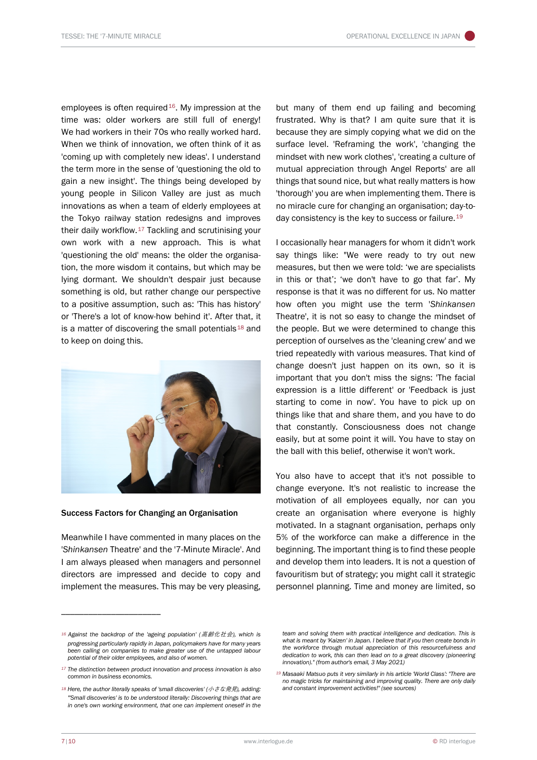employees is often required<sup>16</sup>. My impression at the time was: older workers are still full of energy! We had workers in their 70s who really worked hard. When we think of innovation, we often think of it as 'coming up with completely new ideas'. I understand the term more in the sense of 'questioning the old to gain a new insight'. The things being developed by young people in Silicon Valley are just as much innovations as when a team of elderly employees at the Tokyo railway station redesigns and improves their daily workflow.<sup>[17](#page-6-1)</sup> Tackling and scrutinising your own work with a new approach. This is what 'questioning the old' means: the older the organisation, the more wisdom it contains, but which may be lying dormant. We shouldn't despair just because something is old, but rather change our perspective to a positive assumption, such as: 'This has history' or 'There's a lot of know-how behind it'. After that, it is a matter of discovering the small potentials<sup>[18](#page-6-2)</sup> and to keep on doing this.



#### Success Factors for Changing an Organisation

Meanwhile I have commented in many places on the '*Shinkansen* Theatre' and the '7-Minute Miracle'. And I am always pleased when managers and personnel directors are impressed and decide to copy and implement the measures. This may be very pleasing,

but many of them end up failing and becoming frustrated. Why is that? I am quite sure that it is because they are simply copying what we did on the surface level. 'Reframing the work', 'changing the mindset with new work clothes', 'creating a culture of mutual appreciation through Angel Reports' are all things that sound nice, but what really matters is how 'thorough' you are when implementing them. There is no miracle cure for changing an organisation; day-to-day consistency is the key to success or failure.<sup>[19](#page-6-3)</sup>

I occasionally hear managers for whom it didn't work say things like: "We were ready to try out new measures, but then we were told: 'we are specialists in this or that'; 'we don't have to go that far'. My response is that it was no different for us. No matter how often you might use the term '*Shinkansen* Theatre', it is not so easy to change the mindset of the people. But we were determined to change this perception of ourselves as the 'cleaning crew' and we tried repeatedly with various measures. That kind of change doesn't just happen on its own, so it is important that you don't miss the signs: 'The facial expression is a little different' or 'Feedback is just starting to come in now'. You have to pick up on things like that and share them, and you have to do that constantly. Consciousness does not change easily, but at some point it will. You have to stay on the ball with this belief, otherwise it won't work.

You also have to accept that it's not possible to change everyone. It's not realistic to increase the motivation of all employees equally, nor can you create an organisation where everyone is highly motivated. In a stagnant organisation, perhaps only 5% of the workforce can make a difference in the beginning. The important thing is to find these people and develop them into leaders. It is not a question of favouritism but of strategy; you might call it strategic personnel planning. Time and money are limited, so

<span id="page-6-0"></span>*<sup>16</sup> Against the backdrop of the 'ageing population' (*高齢化社会*), which is progressing particularly rapidly in Japan, policymakers have for many years been calling on companies to make greater use of the untapped labour potential of their older employees, and also of women.*

<span id="page-6-3"></span><span id="page-6-1"></span>*<sup>17</sup> The distinction between product innovation and process innovation is also common in business economics.*

<span id="page-6-2"></span>*<sup>18</sup> Here, the author literally speaks of 'small discoveries' (*小さな発見*), adding: "'Small discoveries' is to be understood literally: Discovering things that are in one's own working environment, that one can implement oneself in the* 

team and solving them with practical intelligence and dedication. This is *what is meant by 'Kaizen' in Japan. I believe that if you then create bonds in the workforce through mutual appreciation of this resourcefulness and dedication to work, this can then lead on to a great discovery (pioneering innovation)." (from author's email, 3 May 2021)*

*<sup>19</sup> Masaaki Matsuo puts it very similarly in his article 'World Class': "There are no magic tricks for maintaining and improving quality. There are only daily and constant improvement activities!" (see sources)*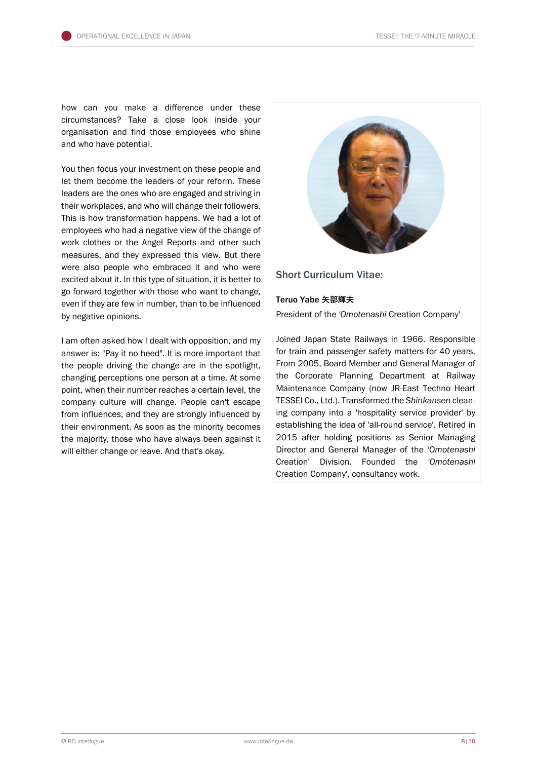how can you make a difference under these circumstances? Take a close look inside your organisation and find those employees who shine and who have potential.

You then focus your investment on these people and let them become the leaders of your reform. These leaders are the ones who are engaged and striving in their workplaces, and who will change their followers. This is how transformation happens. We had a lot of employees who had a negative view of the change of work clothes or the Angel Reports and other such measures, and they expressed this view. But there were also people who embraced it and who were excited about it. In this type of situation, it is better to go forward together with those who want to change, even if they are few in number, than to be influenced by negative opinions.

I am often asked how I dealt with opposition, and my answer is: "Pay it no heed". It is more important that the people driving the change are in the spotlight, changing perceptions one person at a time. At some point, when their number reaches a certain level, the company culture will change. People can't escape from influences, and they are strongly influenced by their environment. As soon as the minority becomes the majority, those who have always been against it will either change or leave. And that's okay.



## Short Curriculum Vitae:

### Teruo Yabe **矢部輝夫**

President of the *'Omotenashi* Creation Company'

Joined Japan State Railways in 1966. Responsible for train and passenger safety matters for 40 years. From 2005, Board Member and General Manager of the Corporate Planning Department at Railway Maintenance Company (now JR-East Techno Heart TESSEI Co., Ltd.). Transformed the *Shinkansen* cleaning company into a 'hospitality service provider' by establishing the idea of 'all-round service'. Retired in 2015 after holding positions as Senior Managing Director and General Manager of the *'Omotenashi* Creation' Division. Founded the *'Omotenashi* Creation Company', consultancy work.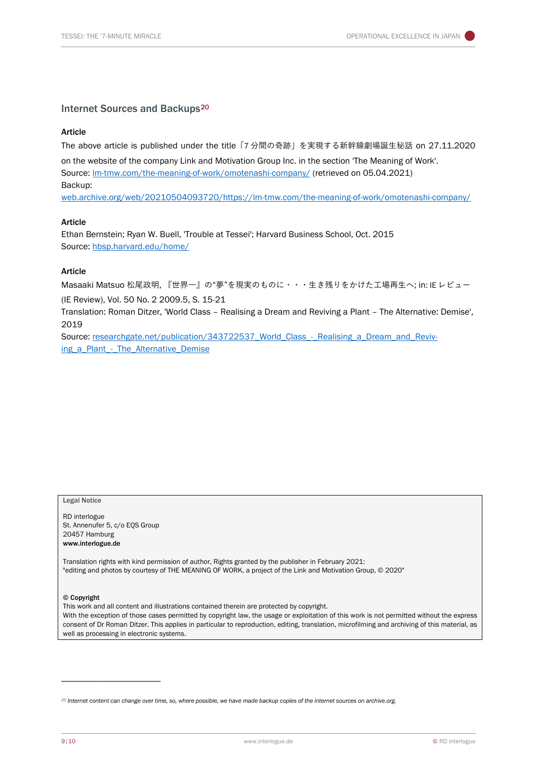### Internet Sources and Backups<sup>[20](#page-8-0)</sup>

#### Article

The above article is published under the title「7 分間の奇跡」を実現する新幹線劇場誕生秘話 on 27.11.2020 on the website of the company Link and Motivation Group Inc. in the section 'The Meaning of Work'. Source: [lm-tmw.com/the-meaning-of-work/omotenashi-company/](https://lm-tmw.com/the-meaning-of-work/omotenashi-company/) (retrieved on 05.04.2021) Backup: [web.archive.org/web/20210504093720/https://lm-tmw.com/the-meaning-of-work/omotenashi-company/](https://web.archive.org/web/20210504093720/https:/lm-tmw.com/the-meaning-of-work/omotenashi-company/)

#### Article

Ethan Bernstein; Ryan W. Buell, 'Trouble at Tessei'; Harvard Business School, Oct. 2015 Source: [hbsp.harvard.edu/home/](https://hbsp.harvard.edu/home/)

#### Article

Masaaki Matsuo 松尾政明, 『世界一』の"夢"を現実のものに・・・生き残りをかけた工場再生へ; in: IE レビュー

(IE Review), Vol. 50 No. 2 2009.5, S. 15-21

Translation: Roman Ditzer, 'World Class – Realising a Dream and Reviving a Plant – The Alternative: Demise', 2019

Source: researchgate.net/publication/343722537 World Class - Realising a Dream and Reviv[ing\\_a\\_Plant\\_-\\_The\\_Alternative\\_Demise](https://www.researchgate.net/publication/343722537_World_Class_-_Realising_a_Dream_and_Reviving_a_Plant_-_The_Alternative_Demise)

#### Legal Notice

RD interlogue St. Annenufer 5, c/o EQS Group 20457 Hamburg www.interlogue.de

\_\_\_\_\_\_\_\_\_\_\_\_\_\_\_\_\_\_\_\_\_\_

Translation rights with kind permission of author, Rights granted by the publisher in February 2021: "editing and photos by courtesy of THE MEANING OF WORK, a project of the Link and Motivation Group, © 2020"

#### © Copyright

This work and all content and illustrations contained therein are protected by copyright. With the exception of those cases permitted by copyright law, the usage or exploitation of this work is not permitted without the express consent of Dr Roman Ditzer. This applies in particular to reproduction, editing, translation, microfilming and archiving of this material, as well as processing in electronic systems.

<span id="page-8-0"></span>*<sup>20</sup> Internet content can change over time, so, where possible, we have made backup copies of the internet sources on archive.org.*